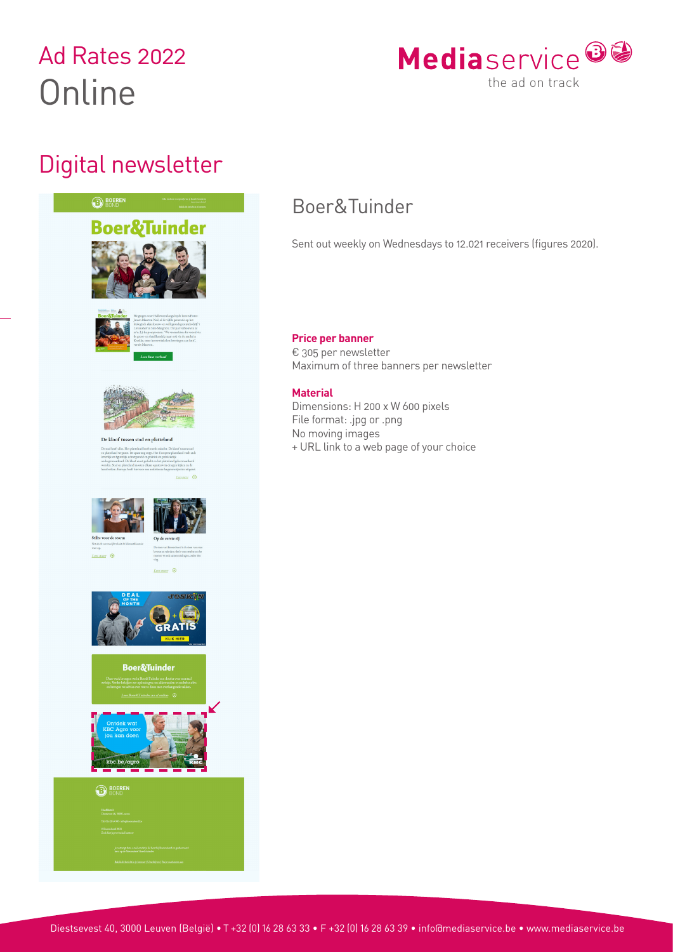# Ad Rates 2022 **Online**

## Digital newsletter





#### **BOERE**



### Boer&Tuinder

Sent out weekly on Wednesdays to 12.021 receivers (figures 2020).

### **Price per banner**

€ 305 per newsletter Maximum of three banners per newsletter

### **Material**

Dimensions: H 200 x W 600 pixels File format: .jpg or .png No moving images + URL link to a web page of your choice